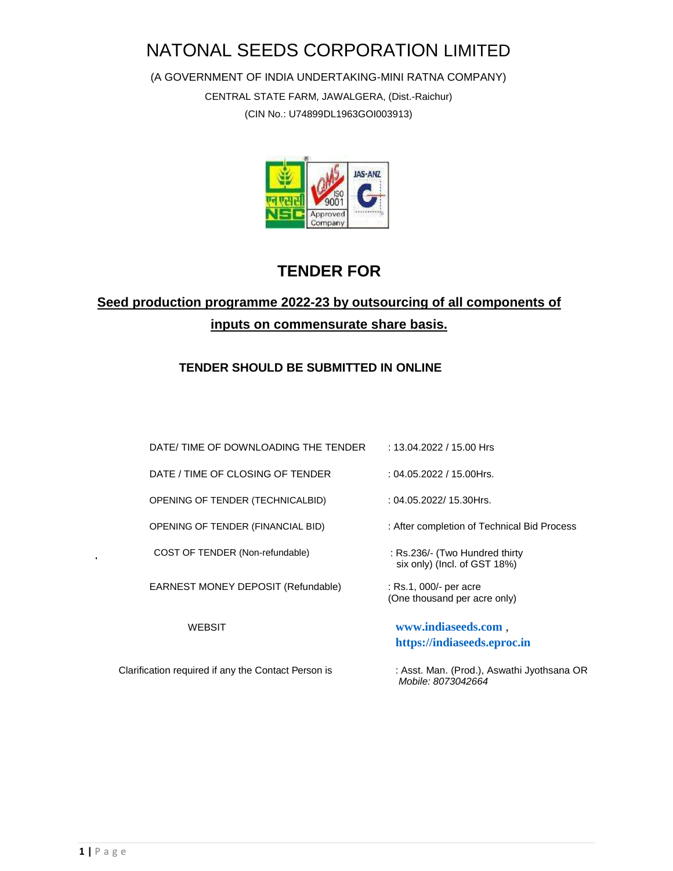# NATONAL SEEDS CORPORATION LIMITED

(A GOVERNMENT OF INDIA UNDERTAKING-MINI RATNA COMPANY) CENTRAL STATE FARM, JAWALGERA, (Dist.-Raichur) (CIN No.: U74899DL1963GOI003913)



## **TENDER FOR**

## **Seed production programme 2022-23 by outsourcing of all components of inputs on commensurate share basis.**

## **TENDER SHOULD BE SUBMITTED IN ONLINE**

| DATE/ TIME OF DOWNLOADING THE TENDER                | : 13.04.2022 / 15.00 Hrs                                         |
|-----------------------------------------------------|------------------------------------------------------------------|
| DATE / TIME OF CLOSING OF TENDER                    | : 04.05.2022 / 15.00Hrs.                                         |
| OPENING OF TENDER (TECHNICALBID)                    | $: 04.05.2022/15.30$ Hrs.                                        |
| OPENING OF TENDER (FINANCIAL BID)                   | : After completion of Technical Bid Process                      |
| COST OF TENDER (Non-refundable)                     | : Rs.236/- (Two Hundred thirty<br>six only) (Incl. of GST 18%)   |
| EARNEST MONEY DEPOSIT (Refundable)                  | : Rs.1, 000/- per acre<br>(One thousand per acre only)           |
| <b>WEBSIT</b>                                       | www.indiaseeds.com,<br>https://indiaseeds.eproc.in               |
| Clarification required if any the Contact Person is | : Asst. Man. (Prod.), Aswathi Jyothsana OR<br>Mobile: 8073042664 |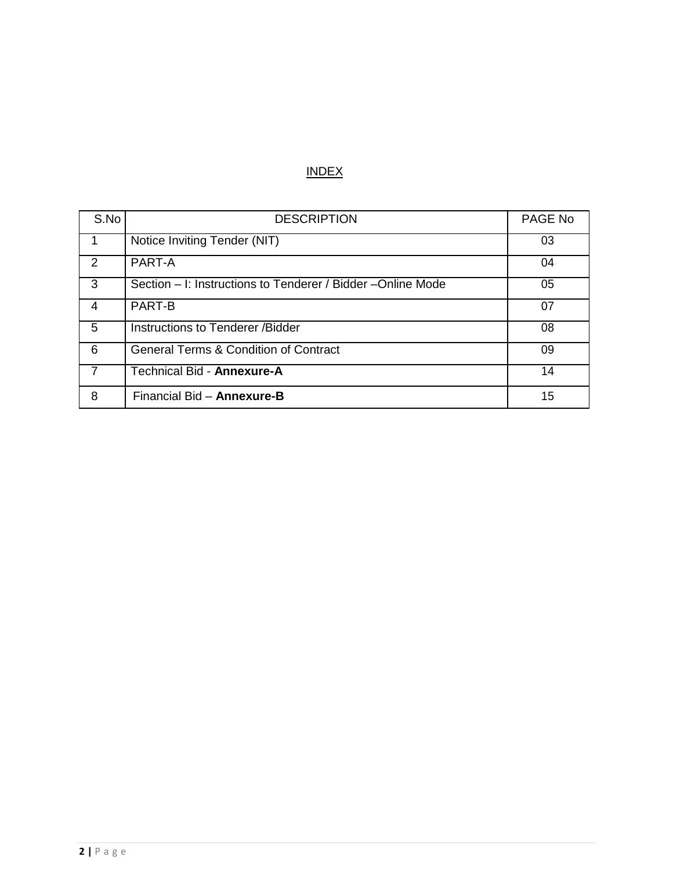## INDEX

| S.No           | <b>DESCRIPTION</b>                                           | PAGE No |
|----------------|--------------------------------------------------------------|---------|
|                | Notice Inviting Tender (NIT)                                 | 03      |
| $\mathcal{P}$  | PART-A                                                       | 04      |
| 3              | Section – I: Instructions to Tenderer / Bidder – Online Mode | 05      |
| 4              | <b>PART-B</b>                                                | 07      |
| 5              | Instructions to Tenderer / Bidder                            | 08      |
| 6              | <b>General Terms &amp; Condition of Contract</b>             | 09      |
| $\overline{7}$ | Technical Bid - Annexure-A                                   | 14      |
| 8              | Financial Bid - Annexure-B                                   | 15      |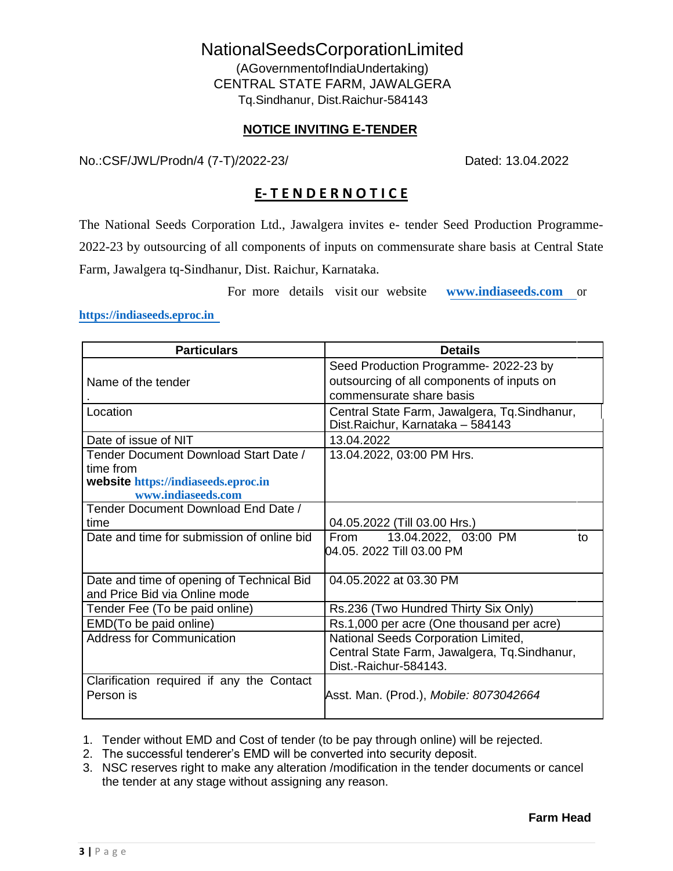# NationalSeedsCorporationLimited

(AGovernmentofIndiaUndertaking) CENTRAL STATE FARM, JAWALGERA Tq.Sindhanur, Dist.Raichur-584143

#### **NOTICE INVITING E-TENDER**

No.:CSF/JWL/Prodn/4 (7-T)/2022-23/ Dated: 13.04.2022

## **E- T E N D E R N O T I C E**

The National Seeds Corporation Ltd., Jawalgera invites e- tender Seed Production Programme-2022-23 by outsourcing of all components of inputs on commensurate share basis at Central State Farm, Jawalgera tq-Sindhanur, Dist. Raichur, Karnataka.

For more details visit our website **[www.indiaseeds.com](http://www.indiaseeds.com/)** or

#### **[https://indiaseeds.eproc.in](https://indiaseeds.eproc.in/)**

| <b>Particulars</b>                         | <b>Details</b>                                                                     |  |  |  |  |  |
|--------------------------------------------|------------------------------------------------------------------------------------|--|--|--|--|--|
|                                            | Seed Production Programme- 2022-23 by                                              |  |  |  |  |  |
| Name of the tender                         | outsourcing of all components of inputs on                                         |  |  |  |  |  |
|                                            | commensurate share basis                                                           |  |  |  |  |  |
| Location                                   | Central State Farm, Jawalgera, Tq. Sindhanur,<br>Dist. Raichur, Karnataka - 584143 |  |  |  |  |  |
| Date of issue of NIT                       | 13.04.2022                                                                         |  |  |  |  |  |
| Tender Document Download Start Date /      | 13.04.2022, 03:00 PM Hrs.                                                          |  |  |  |  |  |
| time from                                  |                                                                                    |  |  |  |  |  |
| website https://indiaseeds.eproc.in        |                                                                                    |  |  |  |  |  |
| www.indiaseeds.com                         |                                                                                    |  |  |  |  |  |
| Tender Document Download End Date /        |                                                                                    |  |  |  |  |  |
| time                                       | 04.05.2022 (Till 03.00 Hrs.)                                                       |  |  |  |  |  |
| Date and time for submission of online bid | From<br>13.04.2022, 03:00 PM<br>to                                                 |  |  |  |  |  |
|                                            | 04.05. 2022 Till 03.00 PM                                                          |  |  |  |  |  |
|                                            |                                                                                    |  |  |  |  |  |
| Date and time of opening of Technical Bid  | 04.05.2022 at 03.30 PM                                                             |  |  |  |  |  |
| and Price Bid via Online mode              |                                                                                    |  |  |  |  |  |
| Tender Fee (To be paid online)             | Rs.236 (Two Hundred Thirty Six Only)                                               |  |  |  |  |  |
| EMD(To be paid online)                     | Rs.1,000 per acre (One thousand per acre)                                          |  |  |  |  |  |
| <b>Address for Communication</b>           | National Seeds Corporation Limited,                                                |  |  |  |  |  |
|                                            | Central State Farm, Jawalgera, Tq. Sindhanur,                                      |  |  |  |  |  |
|                                            | Dist.-Raichur-584143.                                                              |  |  |  |  |  |
| Clarification required if any the Contact  |                                                                                    |  |  |  |  |  |
| Person is                                  | Asst. Man. (Prod.), Mobile: 8073042664                                             |  |  |  |  |  |
|                                            |                                                                                    |  |  |  |  |  |

1. Tender without EMD and Cost of tender (to be pay through online) will be rejected.

2. The successful tenderer's EMD will be converted into security deposit.

3. NSC reserves right to make any alteration /modification in the tender documents or cancel the tender at any stage without assigning any reason.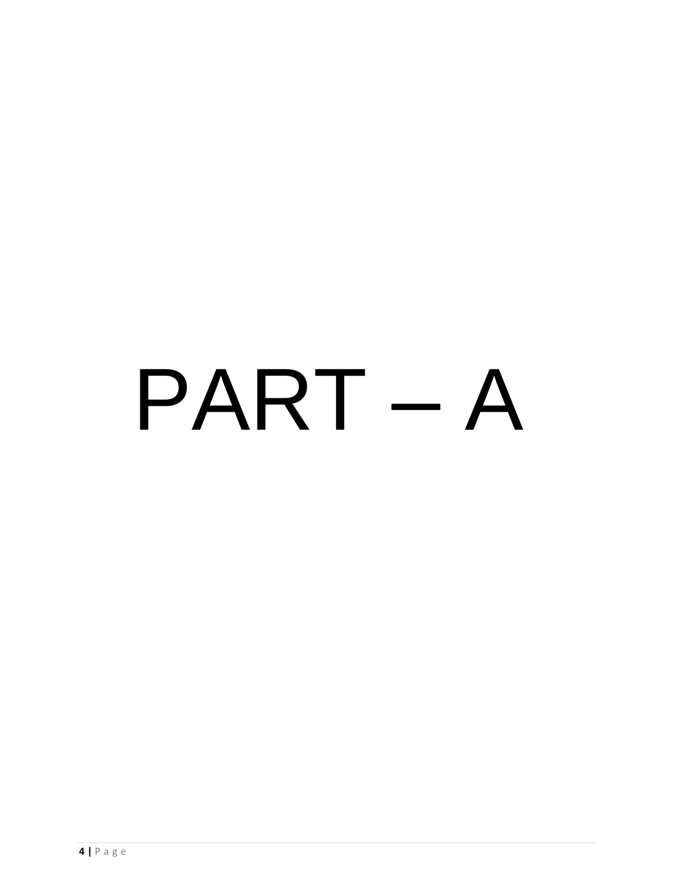# PART – A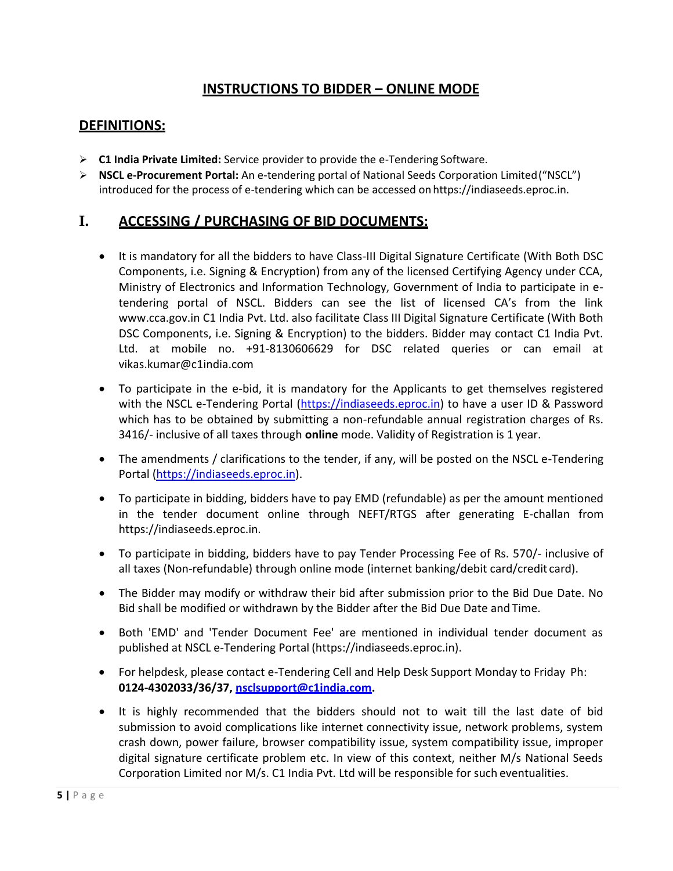## **INSTRUCTIONS TO BIDDER – ONLINE MODE**

### **DEFINITIONS:**

- **C1 India Private Limited:** Service provider to provide the e-Tendering Software.
- **NSCL e-Procurement Portal:** An e-tendering portal of National Seeds Corporation Limited("NSCL") introduced for the process of e-tendering which can be accessed on https://indiaseeds.eproc.in.

## **I. ACCESSING / PURCHASING OF BID DOCUMENTS:**

- It is mandatory for all the bidders to have Class-III Digital Signature Certificate (With Both DSC Components, i.e. Signing & Encryption) from any of the licensed Certifying Agency under CCA, Ministry of Electronics and Information Technology, Government of India to participate in etendering portal of NSCL. Bidders can see the list of licensed CA's from the link [www.cca.gov.in](http://www.cca.gov.in/) C1 India Pvt. Ltd. also facilitate Class III Digital Signature Certificate (With Both DSC Components, i.e. Signing & Encryption) to the bidders. Bidder may contact C1 India Pvt. Ltd. at mobile no. +91-8130606629 for DSC related queries or can email a[t](mailto:vikas.kumar@c1india.com) [vikas.kumar@c1india.com](mailto:vikas.kumar@c1india.com)
- To participate in the e-bid, it is mandatory for the Applicants to get themselves registered with the NSCL e-Tendering Portal [\(https://indiaseeds.eproc.in\)](https://indiaseeds.eproc.in/) to have a user ID & Password which has to be obtained by submitting a non-refundable annual registration charges of Rs. 3416/- inclusive of all taxes through **online** mode. Validity of Registration is 1 year.
- The amendments / clarifications to the tender, if any, will be posted on the NSCL e-Tendering Portal [\(https://indiaseeds.eproc.in\)](https://indiaseeds.eproc.in/).
- To participate in bidding, bidders have to pay EMD (refundable) as per the amount mentioned in the tender document online through NEFT/RTGS after generating E-challan from https://indiaseeds.eproc.in.
- To participate in bidding, bidders have to pay Tender Processing Fee of Rs. 570/- inclusive of all taxes (Non-refundable) through online mode (internet banking/debit card/credit card).
- The Bidder may modify or withdraw their bid after submission prior to the Bid Due Date. No Bid shall be modified or withdrawn by the Bidder after the Bid Due Date and Time.
- Both 'EMD' and 'Tender Document Fee' are mentioned in individual tender document as published at NSCL e-Tendering Portal (https://indiaseeds.eproc.in).
- For helpdesk, please contact e-Tendering Cell and Help Desk Support Monday to Friday Ph: **0124-4302033/36/37, [nsclsupport@c1india.com.](mailto:nsclsupport@c1india.com)**
- It is highly recommended that the bidders should not to wait till the last date of bid submission to avoid complications like internet connectivity issue, network problems, system crash down, power failure, browser compatibility issue, system compatibility issue, improper digital signature certificate problem etc. In view of this context, neither M/s National Seeds Corporation Limited nor M/s. C1 India Pvt. Ltd will be responsible for such eventualities.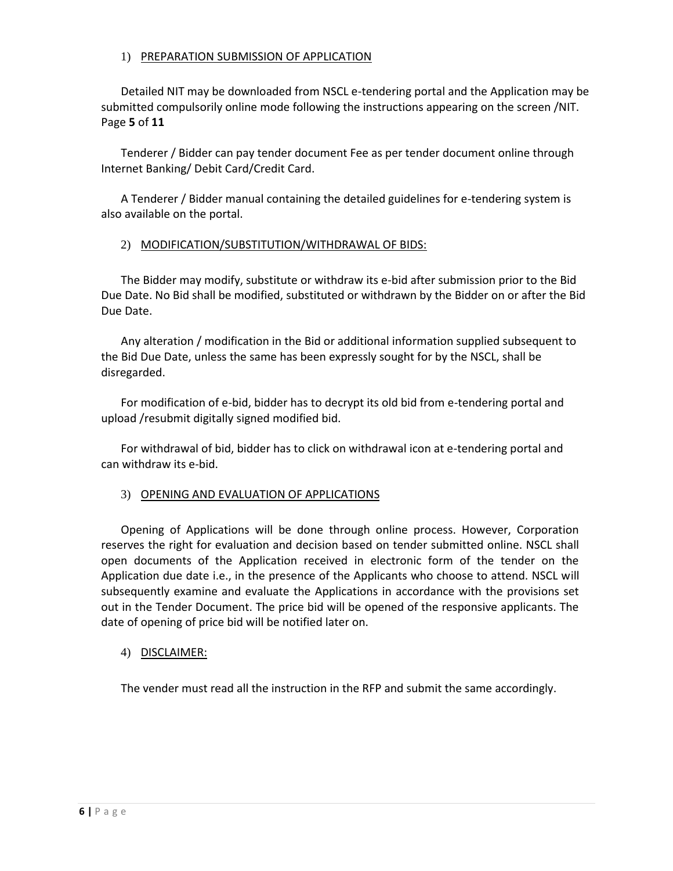#### 1) PREPARATION SUBMISSION OF APPLICATION

Detailed NIT may be downloaded from NSCL e-tendering portal and the Application may be submitted compulsorily online mode following the instructions appearing on the screen /NIT. Page **5** of **11**

Tenderer / Bidder can pay tender document Fee as per tender document online through Internet Banking/ Debit Card/Credit Card.

A Tenderer / Bidder manual containing the detailed guidelines for e-tendering system is also available on the portal.

#### 2) MODIFICATION/SUBSTITUTION/WITHDRAWAL OF BIDS:

The Bidder may modify, substitute or withdraw its e-bid after submission prior to the Bid Due Date. No Bid shall be modified, substituted or withdrawn by the Bidder on or after the Bid Due Date.

Any alteration / modification in the Bid or additional information supplied subsequent to the Bid Due Date, unless the same has been expressly sought for by the NSCL, shall be disregarded.

For modification of e-bid, bidder has to decrypt its old bid from e-tendering portal and upload /resubmit digitally signed modified bid.

For withdrawal of bid, bidder has to click on withdrawal icon at e-tendering portal and can withdraw its e-bid.

#### 3) OPENING AND EVALUATION OF APPLICATIONS

Opening of Applications will be done through online process. However, Corporation reserves the right for evaluation and decision based on tender submitted online. NSCL shall open documents of the Application received in electronic form of the tender on the Application due date i.e., in the presence of the Applicants who choose to attend. NSCL will subsequently examine and evaluate the Applications in accordance with the provisions set out in the Tender Document. The price bid will be opened of the responsive applicants. The date of opening of price bid will be notified later on.

#### 4) DISCLAIMER:

The vender must read all the instruction in the RFP and submit the same accordingly.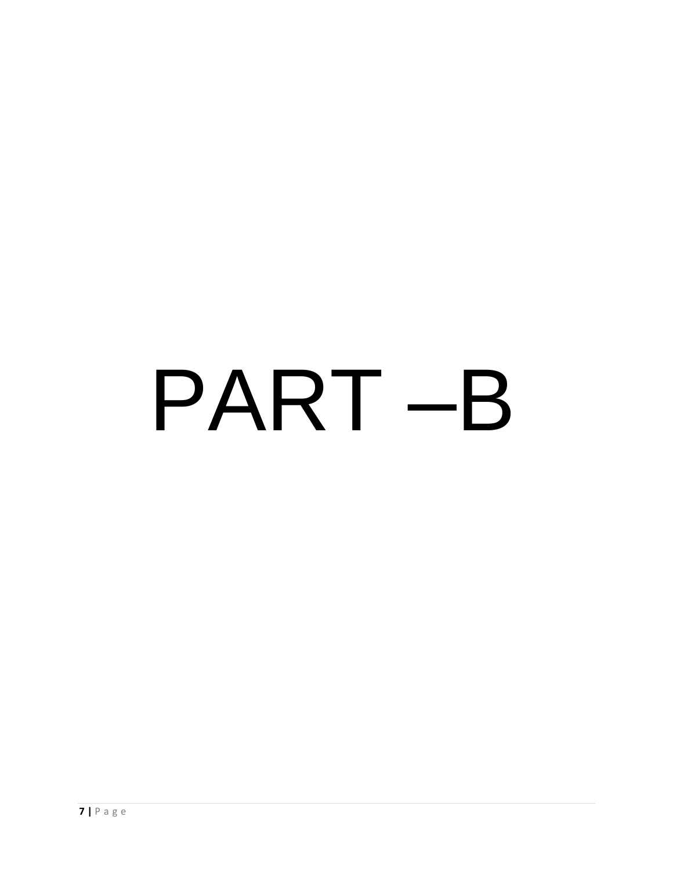# PART –B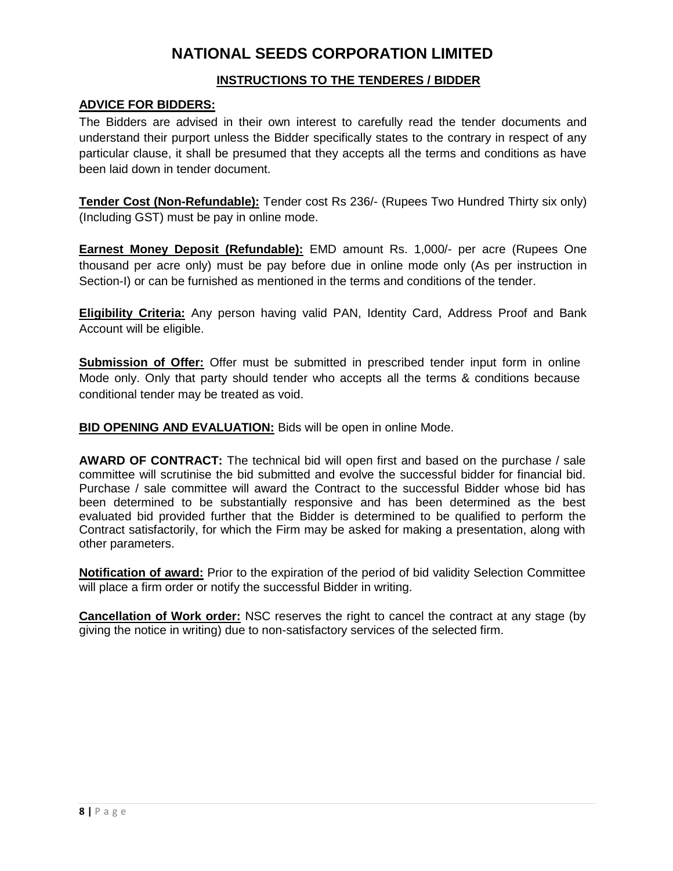## **NATIONAL SEEDS CORPORATION LIMITED**

#### **INSTRUCTIONS TO THE TENDERES / BIDDER**

#### **ADVICE FOR BIDDERS:**

The Bidders are advised in their own interest to carefully read the tender documents and understand their purport unless the Bidder specifically states to the contrary in respect of any particular clause, it shall be presumed that they accepts all the terms and conditions as have been laid down in tender document.

**Tender Cost (Non-Refundable):** Tender cost Rs 236/- (Rupees Two Hundred Thirty six only) (Including GST) must be pay in online mode.

**Earnest Money Deposit (Refundable):** EMD amount Rs. 1,000/- per acre (Rupees One thousand per acre only) must be pay before due in online mode only (As per instruction in Section-I) or can be furnished as mentioned in the terms and conditions of the tender.

**Eligibility Criteria:** Any person having valid PAN, Identity Card, Address Proof and Bank Account will be eligible.

**Submission of Offer:** Offer must be submitted in prescribed tender input form in online Mode only. Only that party should tender who accepts all the terms & conditions because conditional tender may be treated as void.

**BID OPENING AND EVALUATION:** Bids will be open in online Mode.

**AWARD OF CONTRACT:** The technical bid will open first and based on the purchase / sale committee will scrutinise the bid submitted and evolve the successful bidder for financial bid. Purchase / sale committee will award the Contract to the successful Bidder whose bid has been determined to be substantially responsive and has been determined as the best evaluated bid provided further that the Bidder is determined to be qualified to perform the Contract satisfactorily, for which the Firm may be asked for making a presentation, along with other parameters.

**Notification of award:** Prior to the expiration of the period of bid validity Selection Committee will place a firm order or notify the successful Bidder in writing.

**Cancellation of Work order:** NSC reserves the right to cancel the contract at any stage (by giving the notice in writing) due to non-satisfactory services of the selected firm.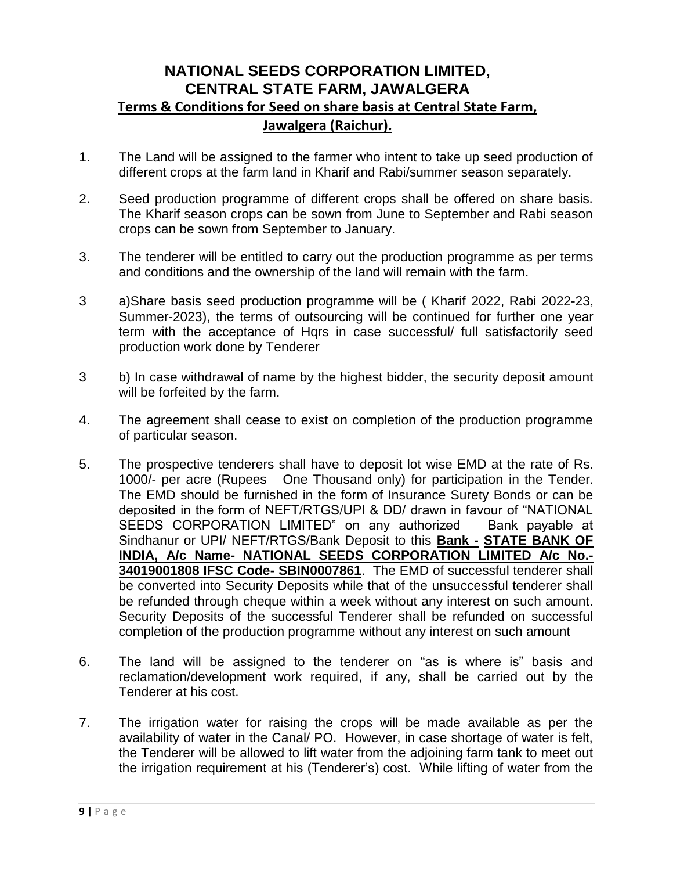## **NATIONAL SEEDS CORPORATION LIMITED, CENTRAL STATE FARM, JAWALGERA Terms & Conditions for Seed on share basis at Central State Farm, Jawalgera (Raichur).**

- 1. The Land will be assigned to the farmer who intent to take up seed production of different crops at the farm land in Kharif and Rabi/summer season separately.
- 2. Seed production programme of different crops shall be offered on share basis. The Kharif season crops can be sown from June to September and Rabi season crops can be sown from September to January.
- 3. The tenderer will be entitled to carry out the production programme as per terms and conditions and the ownership of the land will remain with the farm.
- 3 a)Share basis seed production programme will be ( Kharif 2022, Rabi 2022-23, Summer-2023), the terms of outsourcing will be continued for further one year term with the acceptance of Hqrs in case successful/ full satisfactorily seed production work done by Tenderer
- 3 b) In case withdrawal of name by the highest bidder, the security deposit amount will be forfeited by the farm.
- 4. The agreement shall cease to exist on completion of the production programme of particular season.
- 5. The prospective tenderers shall have to deposit lot wise EMD at the rate of Rs. 1000/- per acre (Rupees One Thousand only) for participation in the Tender. The EMD should be furnished in the form of Insurance Surety Bonds or can be deposited in the form of NEFT/RTGS/UPI & DD/ drawn in favour of "NATIONAL SEEDS CORPORATION LIMITED" on any authorized Bank payable at Sindhanur or UPI/ NEFT/RTGS/Bank Deposit to this **Bank - STATE BANK OF INDIA, A/c Name- NATIONAL SEEDS CORPORATION LIMITED A/c No.- 34019001808 IFSC Code- SBIN0007861**. The EMD of successful tenderer shall be converted into Security Deposits while that of the unsuccessful tenderer shall be refunded through cheque within a week without any interest on such amount. Security Deposits of the successful Tenderer shall be refunded on successful completion of the production programme without any interest on such amount
- 6. The land will be assigned to the tenderer on "as is where is" basis and reclamation/development work required, if any, shall be carried out by the Tenderer at his cost.
- 7. The irrigation water for raising the crops will be made available as per the availability of water in the Canal/ PO. However, in case shortage of water is felt, the Tenderer will be allowed to lift water from the adjoining farm tank to meet out the irrigation requirement at his (Tenderer's) cost. While lifting of water from the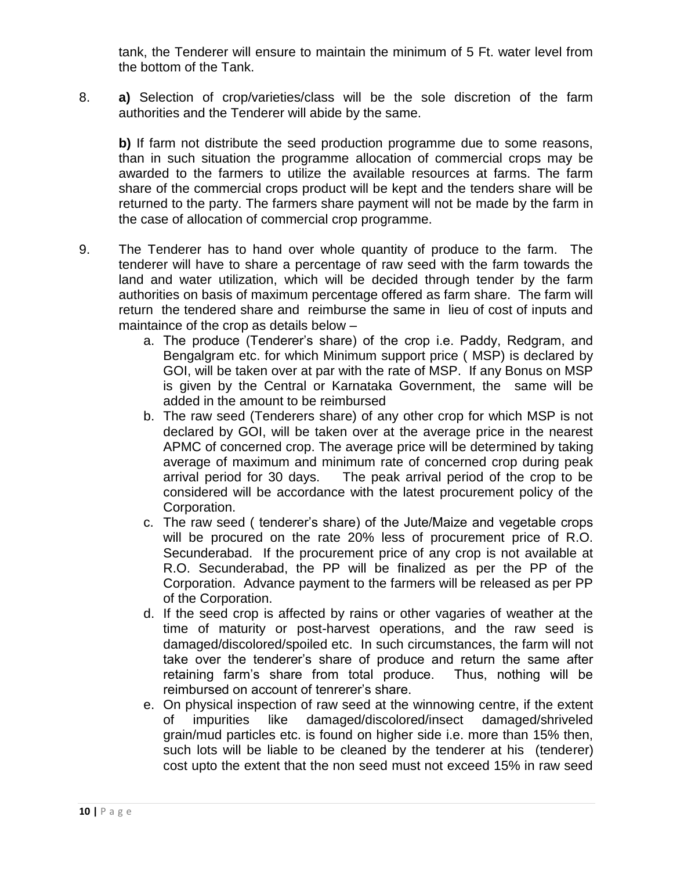tank, the Tenderer will ensure to maintain the minimum of 5 Ft. water level from the bottom of the Tank.

8. **a)** Selection of crop/varieties/class will be the sole discretion of the farm authorities and the Tenderer will abide by the same.

**b)** If farm not distribute the seed production programme due to some reasons, than in such situation the programme allocation of commercial crops may be awarded to the farmers to utilize the available resources at farms. The farm share of the commercial crops product will be kept and the tenders share will be returned to the party. The farmers share payment will not be made by the farm in the case of allocation of commercial crop programme.

- 9. The Tenderer has to hand over whole quantity of produce to the farm. The tenderer will have to share a percentage of raw seed with the farm towards the land and water utilization, which will be decided through tender by the farm authorities on basis of maximum percentage offered as farm share. The farm will return the tendered share and reimburse the same in lieu of cost of inputs and maintaince of the crop as details below –
	- a. The produce (Tenderer's share) of the crop i.e. Paddy, Redgram, and Bengalgram etc. for which Minimum support price ( MSP) is declared by GOI, will be taken over at par with the rate of MSP. If any Bonus on MSP is given by the Central or Karnataka Government, the same will be added in the amount to be reimbursed
	- b. The raw seed (Tenderers share) of any other crop for which MSP is not declared by GOI, will be taken over at the average price in the nearest APMC of concerned crop. The average price will be determined by taking average of maximum and minimum rate of concerned crop during peak arrival period for 30 days. The peak arrival period of the crop to be considered will be accordance with the latest procurement policy of the Corporation.
	- c. The raw seed ( tenderer's share) of the Jute/Maize and vegetable crops will be procured on the rate 20% less of procurement price of R.O. Secunderabad. If the procurement price of any crop is not available at R.O. Secunderabad, the PP will be finalized as per the PP of the Corporation. Advance payment to the farmers will be released as per PP of the Corporation.
	- d. If the seed crop is affected by rains or other vagaries of weather at the time of maturity or post-harvest operations, and the raw seed is damaged/discolored/spoiled etc. In such circumstances, the farm will not take over the tenderer's share of produce and return the same after retaining farm's share from total produce. Thus, nothing will be reimbursed on account of tenrerer's share.
	- e. On physical inspection of raw seed at the winnowing centre, if the extent of impurities like damaged/discolored/insect damaged/shriveled grain/mud particles etc. is found on higher side i.e. more than 15% then, such lots will be liable to be cleaned by the tenderer at his (tenderer) cost upto the extent that the non seed must not exceed 15% in raw seed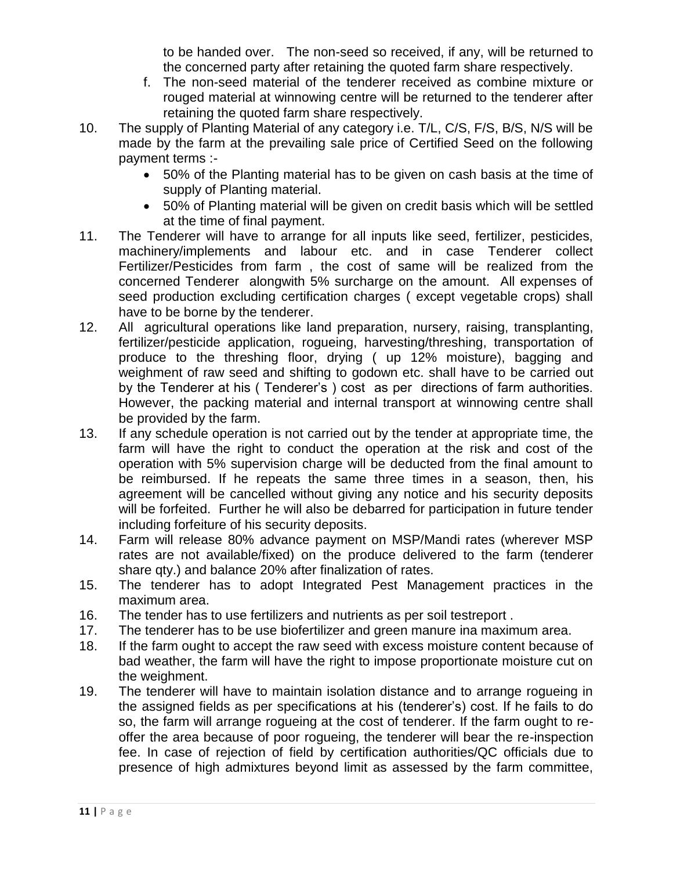to be handed over. The non-seed so received, if any, will be returned to the concerned party after retaining the quoted farm share respectively.

- f. The non-seed material of the tenderer received as combine mixture or rouged material at winnowing centre will be returned to the tenderer after retaining the quoted farm share respectively.
- 10. The supply of Planting Material of any category i.e. T/L, C/S, F/S, B/S, N/S will be made by the farm at the prevailing sale price of Certified Seed on the following payment terms :-
	- 50% of the Planting material has to be given on cash basis at the time of supply of Planting material.
	- 50% of Planting material will be given on credit basis which will be settled at the time of final payment.
- 11. The Tenderer will have to arrange for all inputs like seed, fertilizer, pesticides, machinery/implements and labour etc. and in case Tenderer collect Fertilizer/Pesticides from farm , the cost of same will be realized from the concerned Tenderer alongwith 5% surcharge on the amount. All expenses of seed production excluding certification charges ( except vegetable crops) shall have to be borne by the tenderer.
- 12. All agricultural operations like land preparation, nursery, raising, transplanting, fertilizer/pesticide application, rogueing, harvesting/threshing, transportation of produce to the threshing floor, drying ( up 12% moisture), bagging and weighment of raw seed and shifting to godown etc. shall have to be carried out by the Tenderer at his ( Tenderer's ) cost as per directions of farm authorities. However, the packing material and internal transport at winnowing centre shall be provided by the farm.
- 13. If any schedule operation is not carried out by the tender at appropriate time, the farm will have the right to conduct the operation at the risk and cost of the operation with 5% supervision charge will be deducted from the final amount to be reimbursed. If he repeats the same three times in a season, then, his agreement will be cancelled without giving any notice and his security deposits will be forfeited. Further he will also be debarred for participation in future tender including forfeiture of his security deposits.
- 14. Farm will release 80% advance payment on MSP/Mandi rates (wherever MSP rates are not available/fixed) on the produce delivered to the farm (tenderer share qty.) and balance 20% after finalization of rates.
- 15. The tenderer has to adopt Integrated Pest Management practices in the maximum area.
- 16. The tender has to use fertilizers and nutrients as per soil testreport .
- 17. The tenderer has to be use biofertilizer and green manure ina maximum area.
- 18. If the farm ought to accept the raw seed with excess moisture content because of bad weather, the farm will have the right to impose proportionate moisture cut on the weighment.
- 19. The tenderer will have to maintain isolation distance and to arrange rogueing in the assigned fields as per specifications at his (tenderer's) cost. If he fails to do so, the farm will arrange rogueing at the cost of tenderer. If the farm ought to reoffer the area because of poor rogueing, the tenderer will bear the re-inspection fee. In case of rejection of field by certification authorities/QC officials due to presence of high admixtures beyond limit as assessed by the farm committee,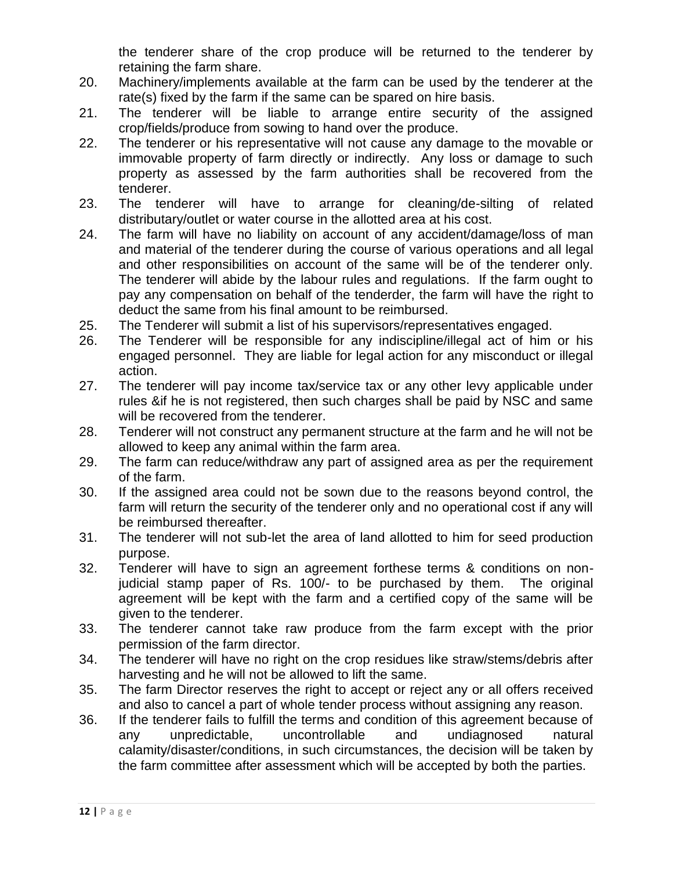the tenderer share of the crop produce will be returned to the tenderer by retaining the farm share.

- 20. Machinery/implements available at the farm can be used by the tenderer at the rate(s) fixed by the farm if the same can be spared on hire basis.
- 21. The tenderer will be liable to arrange entire security of the assigned crop/fields/produce from sowing to hand over the produce.
- 22. The tenderer or his representative will not cause any damage to the movable or immovable property of farm directly or indirectly. Any loss or damage to such property as assessed by the farm authorities shall be recovered from the tenderer.
- 23. The tenderer will have to arrange for cleaning/de-silting of related distributary/outlet or water course in the allotted area at his cost.
- 24. The farm will have no liability on account of any accident/damage/loss of man and material of the tenderer during the course of various operations and all legal and other responsibilities on account of the same will be of the tenderer only. The tenderer will abide by the labour rules and regulations. If the farm ought to pay any compensation on behalf of the tenderder, the farm will have the right to deduct the same from his final amount to be reimbursed.
- 25. The Tenderer will submit a list of his supervisors/representatives engaged.
- 26. The Tenderer will be responsible for any indiscipline/illegal act of him or his engaged personnel. They are liable for legal action for any misconduct or illegal action.
- 27. The tenderer will pay income tax/service tax or any other levy applicable under rules &if he is not registered, then such charges shall be paid by NSC and same will be recovered from the tenderer.
- 28. Tenderer will not construct any permanent structure at the farm and he will not be allowed to keep any animal within the farm area.
- 29. The farm can reduce/withdraw any part of assigned area as per the requirement of the farm.
- 30. If the assigned area could not be sown due to the reasons beyond control, the farm will return the security of the tenderer only and no operational cost if any will be reimbursed thereafter.
- 31. The tenderer will not sub-let the area of land allotted to him for seed production purpose.
- 32. Tenderer will have to sign an agreement forthese terms & conditions on nonjudicial stamp paper of Rs. 100/- to be purchased by them. The original agreement will be kept with the farm and a certified copy of the same will be given to the tenderer.
- 33. The tenderer cannot take raw produce from the farm except with the prior permission of the farm director.
- 34. The tenderer will have no right on the crop residues like straw/stems/debris after harvesting and he will not be allowed to lift the same.
- 35. The farm Director reserves the right to accept or reject any or all offers received and also to cancel a part of whole tender process without assigning any reason.
- 36. If the tenderer fails to fulfill the terms and condition of this agreement because of any unpredictable, uncontrollable and undiagnosed natural calamity/disaster/conditions, in such circumstances, the decision will be taken by the farm committee after assessment which will be accepted by both the parties.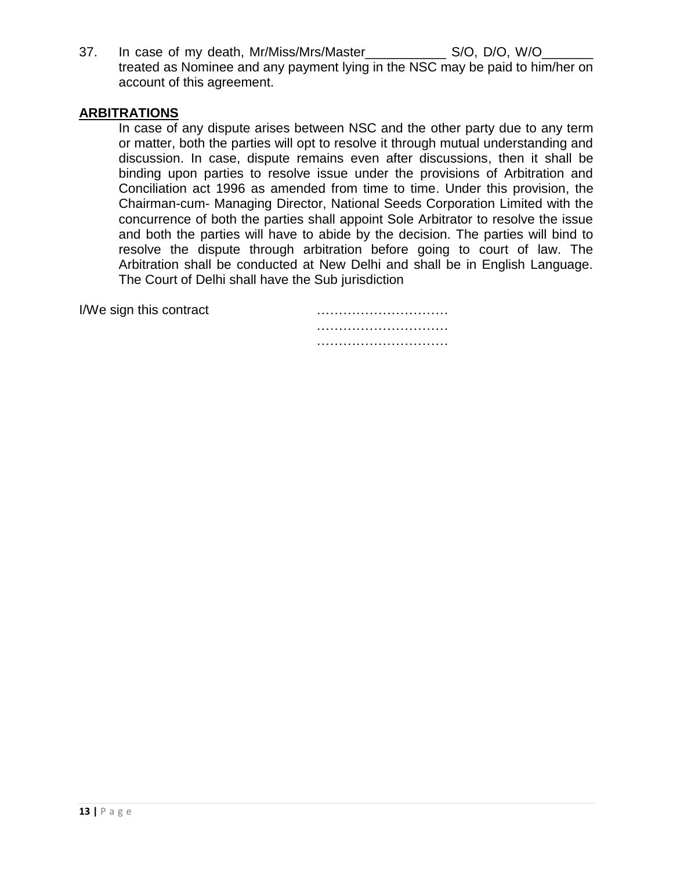37. In case of my death, Mr/Miss/Mrs/Master\_\_\_\_\_\_\_\_\_\_\_\_\_\_ S/O, D/O, W/O\_ treated as Nominee and any payment lying in the NSC may be paid to him/her on account of this agreement.

#### **ARBITRATIONS**

In case of any dispute arises between NSC and the other party due to any term or matter, both the parties will opt to resolve it through mutual understanding and discussion. In case, dispute remains even after discussions, then it shall be binding upon parties to resolve issue under the provisions of Arbitration and Conciliation act 1996 as amended from time to time. Under this provision, the Chairman-cum- Managing Director, National Seeds Corporation Limited with the concurrence of both the parties shall appoint Sole Arbitrator to resolve the issue and both the parties will have to abide by the decision. The parties will bind to resolve the dispute through arbitration before going to court of law. The Arbitration shall be conducted at New Delhi and shall be in English Language. The Court of Delhi shall have the Sub jurisdiction

I/We sign this contract metallicity is a subsequently set of the sign this contract

…………………………………… …………………………………………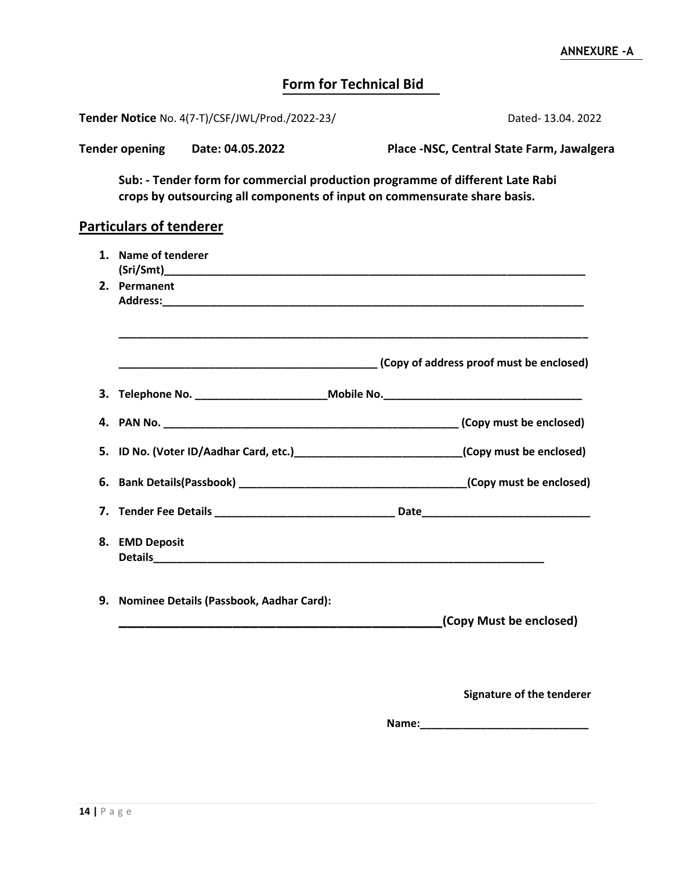## **Form for Technical Bid**

| Dated-13.04. 2022 |
|-------------------|
|                   |

| <b>Tender opening</b> | Date: 04.05.2022 | Place -NSC, Central State Farm, Jawalgera |
|-----------------------|------------------|-------------------------------------------|
|                       |                  |                                           |

**Sub: - Tender form for commercial production programme of different Late Rabi crops by outsourcing all components of input on commensurate share basis.**

## **Particulars of tenderer**

| 1. Name of tenderer                                                              |                                                                                                          |
|----------------------------------------------------------------------------------|----------------------------------------------------------------------------------------------------------|
| 2. Permanent                                                                     |                                                                                                          |
|                                                                                  |                                                                                                          |
| 3. Telephone No. _____________________________Mobile No. _______________________ |                                                                                                          |
|                                                                                  |                                                                                                          |
|                                                                                  | 5. ID No. (Voter ID/Aadhar Card, etc.) [67] [67] [67] [67] [67] [67] ID No. (Voter ID/Aadhar Card, etc.) |
|                                                                                  |                                                                                                          |
|                                                                                  |                                                                                                          |
| 8. EMD Deposit                                                                   |                                                                                                          |
| 9. Nominee Details (Passbook, Aadhar Card):                                      | (Copy Must be enclosed)                                                                                  |
|                                                                                  |                                                                                                          |
|                                                                                  | <b>Signature of the tenderer</b>                                                                         |

**Name:\_\_\_\_\_\_\_\_\_\_\_\_\_\_\_\_\_\_\_\_\_\_\_\_\_\_\_\_**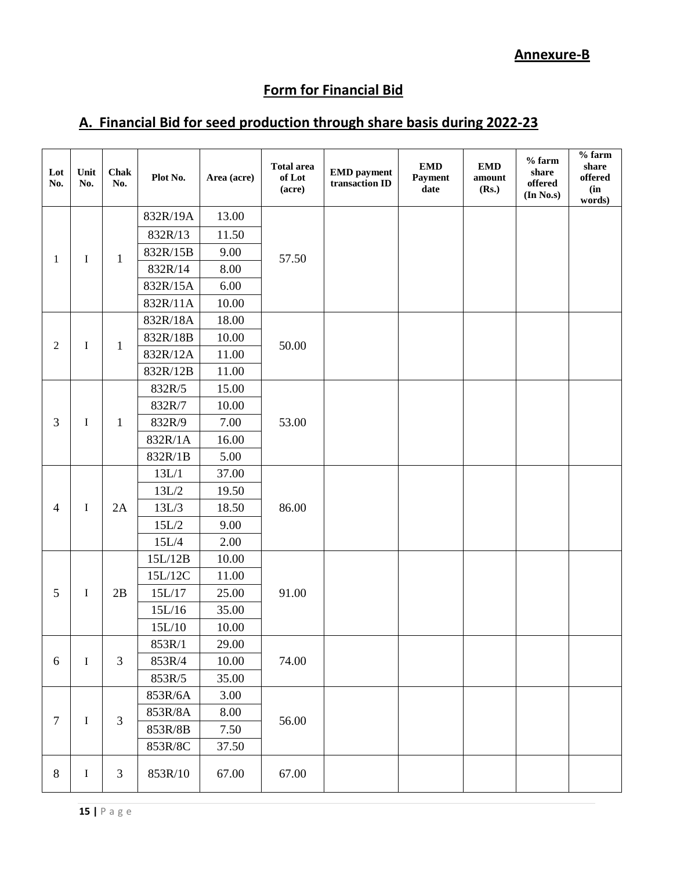## **Annexure-B**

# **Form for Financial Bid**

## **A. Financial Bid for seed production through share basis during 2022-23**

| Lot<br>No.     | Unit<br>No. | <b>Chak</b><br>No. | Plot No. | Area (acre) | <b>Total area</b><br>of Lot<br>(acre) | <b>EMD</b> payment<br>transaction ID | <b>EMD</b><br>Payment<br>date | <b>EMD</b><br>amount<br>(Rs.) | $%$ farm<br>share<br>offered<br>(In No.s) | $%$ farm<br>share<br>offered<br>(in<br>words) |
|----------------|-------------|--------------------|----------|-------------|---------------------------------------|--------------------------------------|-------------------------------|-------------------------------|-------------------------------------------|-----------------------------------------------|
|                |             |                    | 832R/19A | 13.00       |                                       |                                      |                               |                               |                                           |                                               |
|                |             |                    | 832R/13  | 11.50       |                                       |                                      |                               |                               |                                           |                                               |
|                |             | $\mathbf{1}$       | 832R/15B | 9.00        | 57.50                                 |                                      |                               |                               |                                           |                                               |
| 1              | I           |                    | 832R/14  | 8.00        |                                       |                                      |                               |                               |                                           |                                               |
|                |             |                    | 832R/15A | 6.00        |                                       |                                      |                               |                               |                                           |                                               |
|                |             |                    | 832R/11A | 10.00       |                                       |                                      |                               |                               |                                           |                                               |
|                |             |                    | 832R/18A | 18.00       |                                       |                                      |                               |                               |                                           |                                               |
| $\overline{2}$ |             |                    | 832R/18B | 10.00       | 50.00                                 |                                      |                               |                               |                                           |                                               |
|                | I           | $\mathbf{1}$       | 832R/12A | 11.00       |                                       |                                      |                               |                               |                                           |                                               |
|                |             |                    | 832R/12B | 11.00       |                                       |                                      |                               |                               |                                           |                                               |
|                |             |                    | 832R/5   | 15.00       |                                       |                                      |                               |                               |                                           |                                               |
| 3              |             | $\mathbf{1}$       | 832R/7   | 10.00       | 53.00                                 |                                      |                               |                               |                                           |                                               |
|                | I           |                    | 832R/9   | 7.00        |                                       |                                      |                               |                               |                                           |                                               |
|                |             |                    | 832R/1A  | 16.00       |                                       |                                      |                               |                               |                                           |                                               |
|                |             |                    | 832R/1B  | 5.00        |                                       |                                      |                               |                               |                                           |                                               |
|                | I           | 2A                 | 13L/1    | 37.00       | 86.00                                 |                                      |                               |                               |                                           |                                               |
|                |             |                    | $13L/2$  | 19.50       |                                       |                                      |                               |                               |                                           |                                               |
| $\overline{4}$ |             |                    | 13L/3    | 18.50       |                                       |                                      |                               |                               |                                           |                                               |
|                |             |                    | 15L/2    | 9.00        |                                       |                                      |                               |                               |                                           |                                               |
|                |             |                    | 15L/4    | 2.00        |                                       |                                      |                               |                               |                                           |                                               |
|                |             |                    | 15L/12B  | 10.00       | 91.00                                 |                                      |                               |                               |                                           |                                               |
|                |             |                    | 15L/12C  | 11.00       |                                       |                                      |                               |                               |                                           |                                               |
| 5              | I           | 2B                 | 15L/17   | 25.00       |                                       |                                      |                               |                               |                                           |                                               |
|                |             |                    | 15L/16   | 35.00       |                                       |                                      |                               |                               |                                           |                                               |
|                |             |                    | 15L/10   | 10.00       |                                       |                                      |                               |                               |                                           |                                               |
|                |             |                    | 853R/1   | 29.00       |                                       |                                      |                               |                               |                                           |                                               |
| 6              | $\mathbf I$ | $\mathfrak{Z}$     | 853R/4   | 10.00       | 74.00                                 |                                      |                               |                               |                                           |                                               |
|                |             |                    | 853R/5   | 35.00       |                                       |                                      |                               |                               |                                           |                                               |
|                |             |                    | 853R/6A  | 3.00        |                                       |                                      |                               |                               |                                           |                                               |
| $\overline{7}$ | I           | 3                  | 853R/8A  | 8.00        | 56.00                                 |                                      |                               |                               |                                           |                                               |
|                |             |                    | 853R/8B  | 7.50        |                                       |                                      |                               |                               |                                           |                                               |
|                |             |                    | 853R/8C  | 37.50       |                                       |                                      |                               |                               |                                           |                                               |
| 8              | I           | 3                  | 853R/10  | 67.00       | 67.00                                 |                                      |                               |                               |                                           |                                               |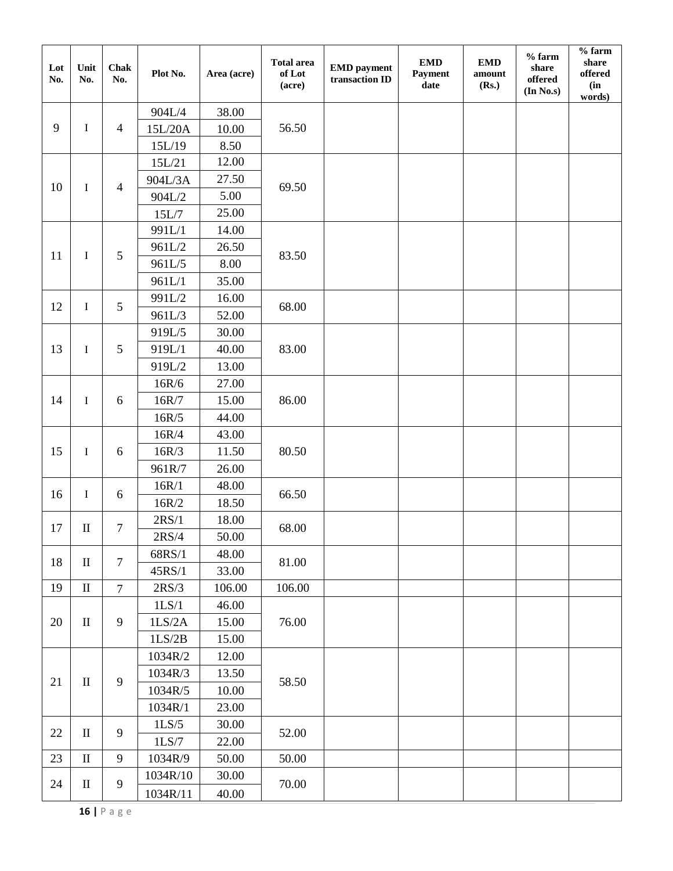| Lot<br>No. | Unit<br>No.                     | <b>Chak</b><br>No. | Plot No.         | Area (acre) | <b>Total area</b><br>of Lot<br>(acre) | <b>EMD</b> payment<br>transaction ID | <b>EMD</b><br>Payment<br>date | <b>EMD</b><br>amount<br>(Rs.) | $%$ farm<br>share<br>offered<br>(In No.s) | $%$ farm<br>share<br>offered<br>(in<br>words) |
|------------|---------------------------------|--------------------|------------------|-------------|---------------------------------------|--------------------------------------|-------------------------------|-------------------------------|-------------------------------------------|-----------------------------------------------|
|            |                                 | 904L/4             | 38.00            |             |                                       |                                      |                               |                               |                                           |                                               |
| 9          | I                               | $\overline{4}$     | 15L/20A          | 10.00       | 56.50                                 |                                      |                               |                               |                                           |                                               |
|            |                                 |                    | 15L/19           | 8.50        |                                       |                                      |                               |                               |                                           |                                               |
|            |                                 |                    | 15L/21           | 12.00       |                                       |                                      |                               |                               |                                           |                                               |
| 10         | I                               | $\overline{4}$     | 904L/3A          | 27.50       | 69.50                                 |                                      |                               |                               |                                           |                                               |
|            |                                 |                    | 904L/2           | 5.00        |                                       |                                      |                               |                               |                                           |                                               |
|            |                                 |                    | 15L/7            | 25.00       |                                       |                                      |                               |                               |                                           |                                               |
|            |                                 |                    | 991L/1           | 14.00       |                                       |                                      |                               |                               |                                           |                                               |
| 11         | $\mathbf I$                     | $\mathfrak{S}$     | 961L/2           | 26.50       | 83.50                                 |                                      |                               |                               |                                           |                                               |
|            |                                 |                    | 961L/5           | 8.00        |                                       |                                      |                               |                               |                                           |                                               |
|            |                                 |                    | 961L/1           | 35.00       |                                       |                                      |                               |                               |                                           |                                               |
| 12         | $\mathbf I$                     | $\mathfrak{S}$     | 991L/2           | 16.00       | 68.00                                 |                                      |                               |                               |                                           |                                               |
|            |                                 |                    | 961L/3           | 52.00       |                                       |                                      |                               |                               |                                           |                                               |
|            |                                 |                    | 919L/5           | 30.00       |                                       |                                      |                               |                               |                                           |                                               |
| 13         | $\mathbf I$                     | $\mathfrak{S}$     | 919L/1           | 40.00       | 83.00                                 |                                      |                               |                               |                                           |                                               |
|            |                                 |                    | 919L/2           | 13.00       |                                       |                                      |                               |                               |                                           |                                               |
| 14         |                                 | 6                  | 16R/6            | 27.00       | 86.00                                 |                                      |                               |                               |                                           |                                               |
|            | I                               |                    | 16R/7            | 15.00       |                                       |                                      |                               |                               |                                           |                                               |
|            |                                 |                    | 16R/5            | 44.00       |                                       |                                      |                               |                               |                                           |                                               |
|            | I                               | $\sqrt{6}$         | 16R/4            | 43.00       | 80.50                                 |                                      |                               |                               |                                           |                                               |
| 15         |                                 |                    | 16R/3            | 11.50       |                                       |                                      |                               |                               |                                           |                                               |
|            |                                 |                    | 961R/7           | 26.00       |                                       |                                      |                               |                               |                                           |                                               |
| 16         |                                 | I<br>6             | 16R/1            | 48.00       | 66.50                                 |                                      |                               |                               |                                           |                                               |
|            |                                 |                    | 16R/2            | 18.50       |                                       |                                      |                               |                               |                                           |                                               |
| 17         | $\mathbf{I}$                    | $\boldsymbol{7}$   | 2RS/1            | 18.00       | 68.00                                 |                                      |                               |                               |                                           |                                               |
|            |                                 |                    | $2\mathrm{RS}/4$ | 50.00       |                                       |                                      |                               |                               |                                           |                                               |
| 18         | $\mathbf{I}$                    | $\overline{7}$     | 68RS/1           | 48.00       | 81.00                                 |                                      |                               |                               |                                           |                                               |
|            |                                 |                    | 45RS/1           | 33.00       |                                       |                                      |                               |                               |                                           |                                               |
| 19         | $\mathop{\mathrm{II}}$          | $\overline{7}$     | $2\mathrm{RS}/3$ | 106.00      | 106.00                                |                                      |                               |                               |                                           |                                               |
|            |                                 |                    | 1LS/1            | 46.00       |                                       |                                      |                               |                               |                                           |                                               |
| 20         | $\mathop{\mathrm{II}}\nolimits$ | 9                  | 1LS/2A           | 15.00       | 76.00                                 |                                      |                               |                               |                                           |                                               |
|            |                                 |                    | 1LS/2B           | 15.00       |                                       |                                      |                               |                               |                                           |                                               |
|            |                                 |                    | 1034R/2          | 12.00       |                                       |                                      |                               |                               |                                           |                                               |
| 21         | $\mathop{\mathrm{II}}\nolimits$ | 9                  | 1034R/3          | 13.50       |                                       |                                      |                               |                               |                                           |                                               |
|            |                                 |                    | 1034R/5          | 10.00       | 58.50                                 |                                      |                               |                               |                                           |                                               |
|            |                                 |                    | 1034R/1          | 23.00       |                                       |                                      |                               |                               |                                           |                                               |
|            | $\mathbf{I}$                    | 9                  | 1LS/5            | 30.00       |                                       |                                      |                               |                               |                                           |                                               |
| 22         |                                 |                    | 1LS/7            | 22.00       | 52.00                                 |                                      |                               |                               |                                           |                                               |
| 23         | $\mathop{\mathrm{II}}\nolimits$ | 9                  | 1034R/9          | 50.00       | 50.00                                 |                                      |                               |                               |                                           |                                               |
| 24         | $\rm II$                        | 9                  | 1034R/10         | 30.00       | 70.00                                 |                                      |                               |                               |                                           |                                               |
|            |                                 |                    | 1034R/11         | 40.00       |                                       |                                      |                               |                               |                                           |                                               |